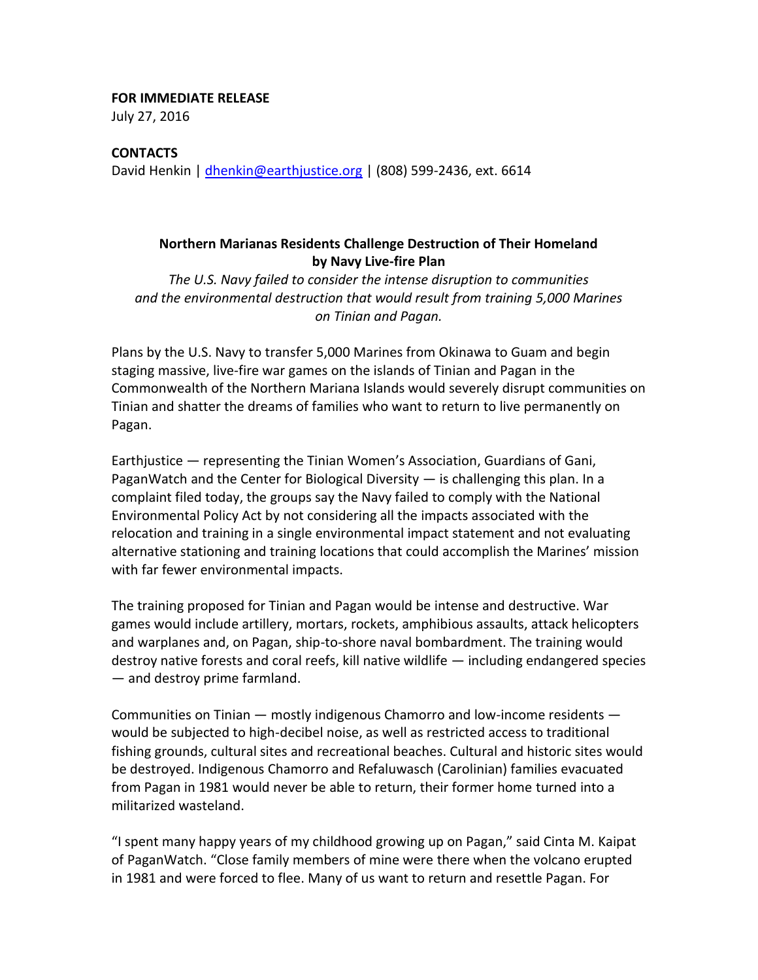# **FOR IMMEDIATE RELEASE**

July 27, 2016

### **CONTACTS**

David Henkin | [dhenkin@earthjustice.org](mailto:dhenkin@earthjustice.org) | (808) 599-2436, ext. 6614

## **Northern Marianas Residents Challenge Destruction of Their Homeland by Navy Live-fire Plan**

*The U.S. Navy failed to consider the intense disruption to communities and the environmental destruction that would result from training 5,000 Marines on Tinian and Pagan.* 

Plans by the U.S. Navy to transfer 5,000 Marines from Okinawa to Guam and begin staging massive, live-fire war games on the islands of Tinian and Pagan in the Commonwealth of the Northern Mariana Islands would severely disrupt communities on Tinian and shatter the dreams of families who want to return to live permanently on Pagan.

Earthjustice — representing the Tinian Women's Association, Guardians of Gani, PaganWatch and the Center for Biological Diversity — is challenging this plan. In a complaint filed today, the groups say the Navy failed to comply with the National Environmental Policy Act by not considering all the impacts associated with the relocation and training in a single environmental impact statement and not evaluating alternative stationing and training locations that could accomplish the Marines' mission with far fewer environmental impacts.

The training proposed for Tinian and Pagan would be intense and destructive. War games would include artillery, mortars, rockets, amphibious assaults, attack helicopters and warplanes and, on Pagan, ship-to-shore naval bombardment. The training would destroy native forests and coral reefs, kill native wildlife — including endangered species — and destroy prime farmland.

Communities on Tinian — mostly indigenous Chamorro and low-income residents would be subjected to high-decibel noise, as well as restricted access to traditional fishing grounds, cultural sites and recreational beaches. Cultural and historic sites would be destroyed. Indigenous Chamorro and Refaluwasch (Carolinian) families evacuated from Pagan in 1981 would never be able to return, their former home turned into a militarized wasteland.

"I spent many happy years of my childhood growing up on Pagan," said Cinta M. Kaipat of PaganWatch. "Close family members of mine were there when the volcano erupted in 1981 and were forced to flee. Many of us want to return and resettle Pagan. For